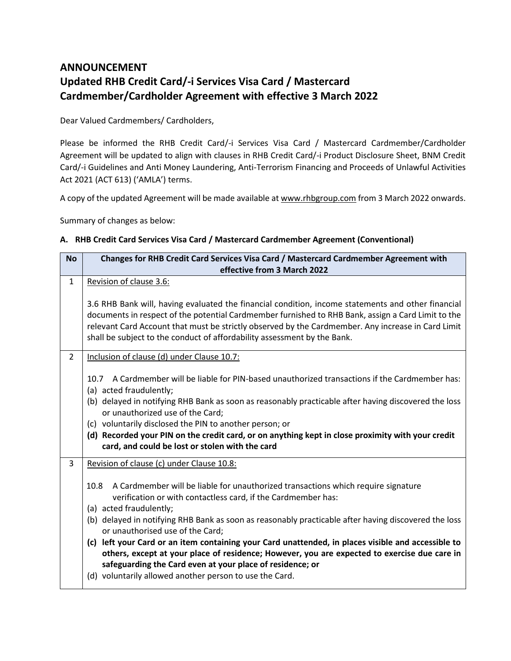# **ANNOUNCEMENT Updated RHB Credit Card/-i Services Visa Card / Mastercard Cardmember/Cardholder Agreement with effective 3 March 2022**

Dear Valued Cardmembers/ Cardholders,

Please be informed the RHB Credit Card/-i Services Visa Card / Mastercard Cardmember/Cardholder Agreement will be updated to align with clauses in RHB Credit Card/-i Product Disclosure Sheet, BNM Credit Card/-i Guidelines and Anti Money Laundering, Anti-Terrorism Financing and Proceeds of Unlawful Activities Act 2021 (ACT 613) ('AMLA') terms.

A copy of the updated Agreement will be made available a[t www.rhbgroup.com](http://www.rhbgroup.com/) from 3 March 2022 onwards.

Summary of changes as below:

## **A. RHB Credit Card Services Visa Card / Mastercard Cardmember Agreement (Conventional)**

| <b>No</b>      | Changes for RHB Credit Card Services Visa Card / Mastercard Cardmember Agreement with                                                                                                                                                                                                                                                                                                                                                                                                                                                                                                                                                                                                                        |  |  |  |  |
|----------------|--------------------------------------------------------------------------------------------------------------------------------------------------------------------------------------------------------------------------------------------------------------------------------------------------------------------------------------------------------------------------------------------------------------------------------------------------------------------------------------------------------------------------------------------------------------------------------------------------------------------------------------------------------------------------------------------------------------|--|--|--|--|
|                | effective from 3 March 2022                                                                                                                                                                                                                                                                                                                                                                                                                                                                                                                                                                                                                                                                                  |  |  |  |  |
| 1              | Revision of clause 3.6:<br>3.6 RHB Bank will, having evaluated the financial condition, income statements and other financial<br>documents in respect of the potential Cardmember furnished to RHB Bank, assign a Card Limit to the<br>relevant Card Account that must be strictly observed by the Cardmember. Any increase in Card Limit<br>shall be subject to the conduct of affordability assessment by the Bank.                                                                                                                                                                                                                                                                                        |  |  |  |  |
| $\overline{2}$ | Inclusion of clause (d) under Clause 10.7:<br>10.7 A Cardmember will be liable for PIN-based unauthorized transactions if the Cardmember has:<br>(a) acted fraudulently;<br>(b) delayed in notifying RHB Bank as soon as reasonably practicable after having discovered the loss<br>or unauthorized use of the Card;<br>(c) voluntarily disclosed the PIN to another person; or<br>(d) Recorded your PIN on the credit card, or on anything kept in close proximity with your credit<br>card, and could be lost or stolen with the card                                                                                                                                                                      |  |  |  |  |
| 3              | Revision of clause (c) under Clause 10.8:<br>A Cardmember will be liable for unauthorized transactions which require signature<br>10.8<br>verification or with contactless card, if the Cardmember has:<br>(a) acted fraudulently;<br>(b) delayed in notifying RHB Bank as soon as reasonably practicable after having discovered the loss<br>or unauthorised use of the Card;<br>(c) left your Card or an item containing your Card unattended, in places visible and accessible to<br>others, except at your place of residence; However, you are expected to exercise due care in<br>safeguarding the Card even at your place of residence; or<br>(d) voluntarily allowed another person to use the Card. |  |  |  |  |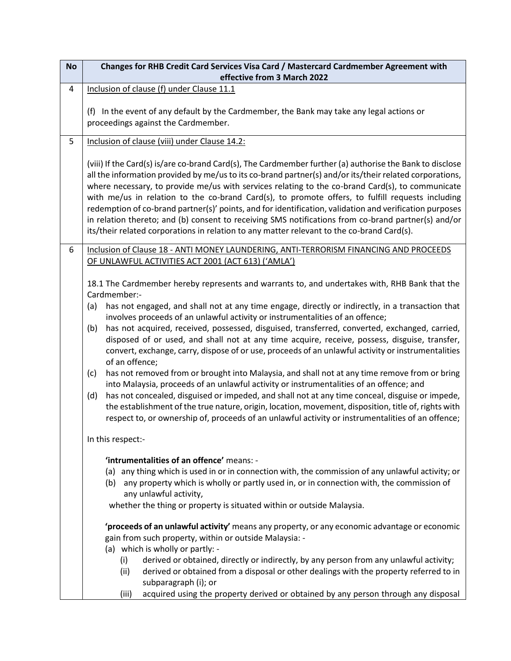| <b>No</b> | Changes for RHB Credit Card Services Visa Card / Mastercard Cardmember Agreement with<br>effective from 3 March 2022                                                                                                                                                                                                                                                                                                                                                                                                                                                                                                                                                                                                                        |  |  |  |  |  |
|-----------|---------------------------------------------------------------------------------------------------------------------------------------------------------------------------------------------------------------------------------------------------------------------------------------------------------------------------------------------------------------------------------------------------------------------------------------------------------------------------------------------------------------------------------------------------------------------------------------------------------------------------------------------------------------------------------------------------------------------------------------------|--|--|--|--|--|
| 4         | Inclusion of clause (f) under Clause 11.1                                                                                                                                                                                                                                                                                                                                                                                                                                                                                                                                                                                                                                                                                                   |  |  |  |  |  |
|           | (f) In the event of any default by the Cardmember, the Bank may take any legal actions or<br>proceedings against the Cardmember.                                                                                                                                                                                                                                                                                                                                                                                                                                                                                                                                                                                                            |  |  |  |  |  |
| 5         | Inclusion of clause (viii) under Clause 14.2:                                                                                                                                                                                                                                                                                                                                                                                                                                                                                                                                                                                                                                                                                               |  |  |  |  |  |
|           | (viii) If the Card(s) is/are co-brand Card(s), The Cardmember further (a) authorise the Bank to disclose<br>all the information provided by me/us to its co-brand partner(s) and/or its/their related corporations,<br>where necessary, to provide me/us with services relating to the co-brand Card(s), to communicate<br>with me/us in relation to the co-brand Card(s), to promote offers, to fulfill requests including<br>redemption of co-brand partner(s)' points, and for identification, validation and verification purposes<br>in relation thereto; and (b) consent to receiving SMS notifications from co-brand partner(s) and/or<br>its/their related corporations in relation to any matter relevant to the co-brand Card(s). |  |  |  |  |  |
| 6         | Inclusion of Clause 18 - ANTI MONEY LAUNDERING, ANTI-TERRORISM FINANCING AND PROCEEDS                                                                                                                                                                                                                                                                                                                                                                                                                                                                                                                                                                                                                                                       |  |  |  |  |  |
|           | OF UNLAWFUL ACTIVITIES ACT 2001 (ACT 613) ('AMLA')                                                                                                                                                                                                                                                                                                                                                                                                                                                                                                                                                                                                                                                                                          |  |  |  |  |  |
|           | 18.1 The Cardmember hereby represents and warrants to, and undertakes with, RHB Bank that the<br>Cardmember:-<br>has not engaged, and shall not at any time engage, directly or indirectly, in a transaction that<br>(a)                                                                                                                                                                                                                                                                                                                                                                                                                                                                                                                    |  |  |  |  |  |
|           | involves proceeds of an unlawful activity or instrumentalities of an offence;                                                                                                                                                                                                                                                                                                                                                                                                                                                                                                                                                                                                                                                               |  |  |  |  |  |
|           | has not acquired, received, possessed, disguised, transferred, converted, exchanged, carried,<br>(b)<br>disposed of or used, and shall not at any time acquire, receive, possess, disguise, transfer,<br>convert, exchange, carry, dispose of or use, proceeds of an unlawful activity or instrumentalities<br>of an offence;                                                                                                                                                                                                                                                                                                                                                                                                               |  |  |  |  |  |
|           | has not removed from or brought into Malaysia, and shall not at any time remove from or bring<br>(c)<br>into Malaysia, proceeds of an unlawful activity or instrumentalities of an offence; and                                                                                                                                                                                                                                                                                                                                                                                                                                                                                                                                             |  |  |  |  |  |
|           | has not concealed, disguised or impeded, and shall not at any time conceal, disguise or impede,<br>(d)<br>the establishment of the true nature, origin, location, movement, disposition, title of, rights with<br>respect to, or ownership of, proceeds of an unlawful activity or instrumentalities of an offence;                                                                                                                                                                                                                                                                                                                                                                                                                         |  |  |  |  |  |
|           | In this respect:-                                                                                                                                                                                                                                                                                                                                                                                                                                                                                                                                                                                                                                                                                                                           |  |  |  |  |  |
|           | 'intrumentalities of an offence' means: -                                                                                                                                                                                                                                                                                                                                                                                                                                                                                                                                                                                                                                                                                                   |  |  |  |  |  |
|           | (a) any thing which is used in or in connection with, the commission of any unlawful activity; or<br>any property which is wholly or partly used in, or in connection with, the commission of<br>(b)<br>any unlawful activity,                                                                                                                                                                                                                                                                                                                                                                                                                                                                                                              |  |  |  |  |  |
|           | whether the thing or property is situated within or outside Malaysia.                                                                                                                                                                                                                                                                                                                                                                                                                                                                                                                                                                                                                                                                       |  |  |  |  |  |
|           | 'proceeds of an unlawful activity' means any property, or any economic advantage or economic<br>gain from such property, within or outside Malaysia: -                                                                                                                                                                                                                                                                                                                                                                                                                                                                                                                                                                                      |  |  |  |  |  |
|           | (a) which is wholly or partly: -                                                                                                                                                                                                                                                                                                                                                                                                                                                                                                                                                                                                                                                                                                            |  |  |  |  |  |
|           | (i)<br>derived or obtained, directly or indirectly, by any person from any unlawful activity;                                                                                                                                                                                                                                                                                                                                                                                                                                                                                                                                                                                                                                               |  |  |  |  |  |
|           | (ii)<br>derived or obtained from a disposal or other dealings with the property referred to in<br>subparagraph (i); or                                                                                                                                                                                                                                                                                                                                                                                                                                                                                                                                                                                                                      |  |  |  |  |  |
|           | acquired using the property derived or obtained by any person through any disposal<br>(iii)                                                                                                                                                                                                                                                                                                                                                                                                                                                                                                                                                                                                                                                 |  |  |  |  |  |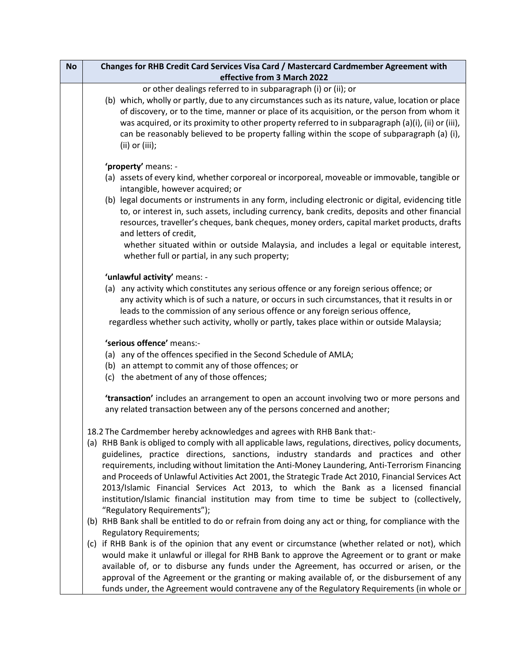| <b>No</b> | Changes for RHB Credit Card Services Visa Card / Mastercard Cardmember Agreement with                                                                                                            |
|-----------|--------------------------------------------------------------------------------------------------------------------------------------------------------------------------------------------------|
|           | effective from 3 March 2022                                                                                                                                                                      |
|           | or other dealings referred to in subparagraph (i) or (ii); or                                                                                                                                    |
|           | (b) which, wholly or partly, due to any circumstances such as its nature, value, location or place                                                                                               |
|           | of discovery, or to the time, manner or place of its acquisition, or the person from whom it                                                                                                     |
|           | was acquired, or its proximity to other property referred to in subparagraph (a)(i), (ii) or (iii),                                                                                              |
|           | can be reasonably believed to be property falling within the scope of subparagraph (a) (i),                                                                                                      |
|           | $(ii)$ or $(iii)$ ;                                                                                                                                                                              |
|           | 'property' means: -                                                                                                                                                                              |
|           | (a) assets of every kind, whether corporeal or incorporeal, moveable or immovable, tangible or                                                                                                   |
|           | intangible, however acquired; or                                                                                                                                                                 |
|           | (b) legal documents or instruments in any form, including electronic or digital, evidencing title                                                                                                |
|           | to, or interest in, such assets, including currency, bank credits, deposits and other financial                                                                                                  |
|           | resources, traveller's cheques, bank cheques, money orders, capital market products, drafts                                                                                                      |
|           | and letters of credit,                                                                                                                                                                           |
|           | whether situated within or outside Malaysia, and includes a legal or equitable interest,                                                                                                         |
|           | whether full or partial, in any such property;                                                                                                                                                   |
|           | 'unlawful activity' means: -                                                                                                                                                                     |
|           | (a) any activity which constitutes any serious offence or any foreign serious offence; or                                                                                                        |
|           | any activity which is of such a nature, or occurs in such circumstances, that it results in or                                                                                                   |
|           | leads to the commission of any serious offence or any foreign serious offence,                                                                                                                   |
|           | regardless whether such activity, wholly or partly, takes place within or outside Malaysia;                                                                                                      |
|           | 'serious offence' means:-                                                                                                                                                                        |
|           | (a) any of the offences specified in the Second Schedule of AMLA;                                                                                                                                |
|           | (b) an attempt to commit any of those offences; or                                                                                                                                               |
|           | (c) the abetment of any of those offences;                                                                                                                                                       |
|           |                                                                                                                                                                                                  |
|           | 'transaction' includes an arrangement to open an account involving two or more persons and                                                                                                       |
|           | any related transaction between any of the persons concerned and another;                                                                                                                        |
|           |                                                                                                                                                                                                  |
|           | 18.2 The Cardmember hereby acknowledges and agrees with RHB Bank that:-                                                                                                                          |
|           | (a) RHB Bank is obliged to comply with all applicable laws, regulations, directives, policy documents,<br>guidelines, practice directions, sanctions, industry standards and practices and other |
|           | requirements, including without limitation the Anti-Money Laundering, Anti-Terrorism Financing                                                                                                   |
|           | and Proceeds of Unlawful Activities Act 2001, the Strategic Trade Act 2010, Financial Services Act                                                                                               |
|           | 2013/Islamic Financial Services Act 2013, to which the Bank as a licensed financial                                                                                                              |
|           | institution/Islamic financial institution may from time to time be subject to (collectively,                                                                                                     |
|           | "Regulatory Requirements");                                                                                                                                                                      |
|           | (b) RHB Bank shall be entitled to do or refrain from doing any act or thing, for compliance with the                                                                                             |
|           | <b>Regulatory Requirements;</b>                                                                                                                                                                  |
|           | (c) if RHB Bank is of the opinion that any event or circumstance (whether related or not), which                                                                                                 |
|           | would make it unlawful or illegal for RHB Bank to approve the Agreement or to grant or make                                                                                                      |
|           | available of, or to disburse any funds under the Agreement, has occurred or arisen, or the                                                                                                       |
|           | approval of the Agreement or the granting or making available of, or the disbursement of any                                                                                                     |
|           | funds under, the Agreement would contravene any of the Regulatory Requirements (in whole or                                                                                                      |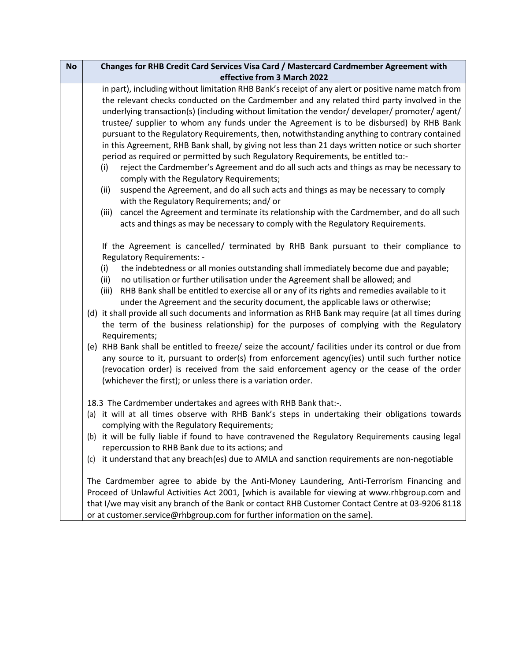| <b>No</b> | Changes for RHB Credit Card Services Visa Card / Mastercard Cardmember Agreement with                                                       |  |  |  |  |  |
|-----------|---------------------------------------------------------------------------------------------------------------------------------------------|--|--|--|--|--|
|           | effective from 3 March 2022                                                                                                                 |  |  |  |  |  |
|           | in part), including without limitation RHB Bank's receipt of any alert or positive name match from                                          |  |  |  |  |  |
|           | the relevant checks conducted on the Cardmember and any related third party involved in the                                                 |  |  |  |  |  |
|           | underlying transaction(s) (including without limitation the vendor/ developer/ promoter/ agent/                                             |  |  |  |  |  |
|           | trustee/ supplier to whom any funds under the Agreement is to be disbursed) by RHB Bank                                                     |  |  |  |  |  |
|           | pursuant to the Regulatory Requirements, then, notwithstanding anything to contrary contained                                               |  |  |  |  |  |
|           | in this Agreement, RHB Bank shall, by giving not less than 21 days written notice or such shorter                                           |  |  |  |  |  |
|           | period as required or permitted by such Regulatory Requirements, be entitled to:-                                                           |  |  |  |  |  |
|           | reject the Cardmember's Agreement and do all such acts and things as may be necessary to<br>(i)<br>comply with the Regulatory Requirements; |  |  |  |  |  |
|           | suspend the Agreement, and do all such acts and things as may be necessary to comply<br>(ii)<br>with the Regulatory Requirements; and/or    |  |  |  |  |  |
|           | cancel the Agreement and terminate its relationship with the Cardmember, and do all such<br>(iii)                                           |  |  |  |  |  |
|           | acts and things as may be necessary to comply with the Regulatory Requirements.                                                             |  |  |  |  |  |
|           | If the Agreement is cancelled/ terminated by RHB Bank pursuant to their compliance to<br><b>Regulatory Requirements: -</b>                  |  |  |  |  |  |
|           | the indebtedness or all monies outstanding shall immediately become due and payable;<br>(i)                                                 |  |  |  |  |  |
|           | no utilisation or further utilisation under the Agreement shall be allowed; and<br>(ii)                                                     |  |  |  |  |  |
|           | RHB Bank shall be entitled to exercise all or any of its rights and remedies available to it<br>(iii)                                       |  |  |  |  |  |
|           | under the Agreement and the security document, the applicable laws or otherwise;                                                            |  |  |  |  |  |
|           | (d) it shall provide all such documents and information as RHB Bank may require (at all times during                                        |  |  |  |  |  |
|           | the term of the business relationship) for the purposes of complying with the Regulatory                                                    |  |  |  |  |  |
|           | Requirements;                                                                                                                               |  |  |  |  |  |
|           | (e) RHB Bank shall be entitled to freeze/ seize the account/ facilities under its control or due from                                       |  |  |  |  |  |
|           | any source to it, pursuant to order(s) from enforcement agency(ies) until such further notice                                               |  |  |  |  |  |
|           | (revocation order) is received from the said enforcement agency or the cease of the order                                                   |  |  |  |  |  |
|           | (whichever the first); or unless there is a variation order.                                                                                |  |  |  |  |  |
|           | 18.3 The Cardmember undertakes and agrees with RHB Bank that:-.                                                                             |  |  |  |  |  |
|           | (a) it will at all times observe with RHB Bank's steps in undertaking their obligations towards                                             |  |  |  |  |  |
|           | complying with the Regulatory Requirements;                                                                                                 |  |  |  |  |  |
|           | (b) it will be fully liable if found to have contravened the Regulatory Requirements causing legal                                          |  |  |  |  |  |
|           | repercussion to RHB Bank due to its actions; and                                                                                            |  |  |  |  |  |
|           | (c) it understand that any breach(es) due to AMLA and sanction requirements are non-negotiable                                              |  |  |  |  |  |
|           | The Cardmember agree to abide by the Anti-Money Laundering, Anti-Terrorism Financing and                                                    |  |  |  |  |  |
|           | Proceed of Unlawful Activities Act 2001, [which is available for viewing at www.rhbgroup.com and                                            |  |  |  |  |  |
|           | that I/we may visit any branch of the Bank or contact RHB Customer Contact Centre at 03-9206 8118                                           |  |  |  |  |  |
|           | or at customer.service@rhbgroup.com for further information on the same].                                                                   |  |  |  |  |  |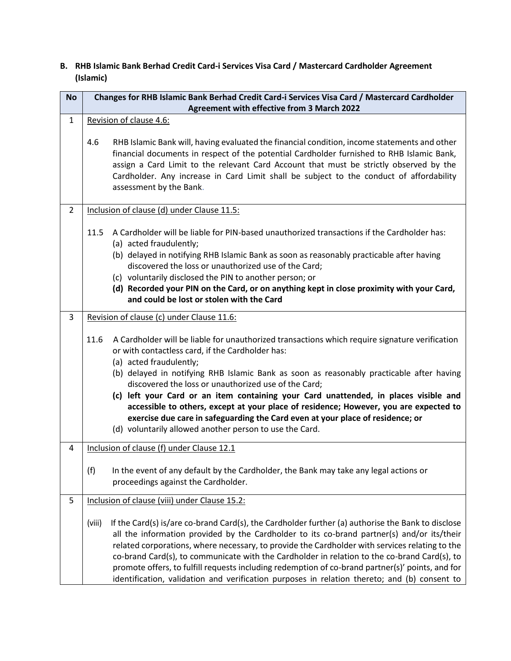# **B. RHB Islamic Bank Berhad Credit Card-i Services Visa Card / Mastercard Cardholder Agreement (Islamic)**

| <b>No</b>      | Changes for RHB Islamic Bank Berhad Credit Card-i Services Visa Card / Mastercard Cardholder                                                                                                                                                                                                                                                                                                                                                                                                                                                                                                                                                                            |  |  |  |  |
|----------------|-------------------------------------------------------------------------------------------------------------------------------------------------------------------------------------------------------------------------------------------------------------------------------------------------------------------------------------------------------------------------------------------------------------------------------------------------------------------------------------------------------------------------------------------------------------------------------------------------------------------------------------------------------------------------|--|--|--|--|
|                | Agreement with effective from 3 March 2022                                                                                                                                                                                                                                                                                                                                                                                                                                                                                                                                                                                                                              |  |  |  |  |
| $\mathbf{1}$   | Revision of clause 4.6:                                                                                                                                                                                                                                                                                                                                                                                                                                                                                                                                                                                                                                                 |  |  |  |  |
|                | 4.6<br>RHB Islamic Bank will, having evaluated the financial condition, income statements and other<br>financial documents in respect of the potential Cardholder furnished to RHB Islamic Bank,<br>assign a Card Limit to the relevant Card Account that must be strictly observed by the<br>Cardholder. Any increase in Card Limit shall be subject to the conduct of affordability<br>assessment by the Bank.                                                                                                                                                                                                                                                        |  |  |  |  |
| $\overline{2}$ | Inclusion of clause (d) under Clause 11.5:                                                                                                                                                                                                                                                                                                                                                                                                                                                                                                                                                                                                                              |  |  |  |  |
|                | A Cardholder will be liable for PIN-based unauthorized transactions if the Cardholder has:<br>11.5<br>(a) acted fraudulently;<br>(b) delayed in notifying RHB Islamic Bank as soon as reasonably practicable after having<br>discovered the loss or unauthorized use of the Card;<br>(c) voluntarily disclosed the PIN to another person; or<br>(d) Recorded your PIN on the Card, or on anything kept in close proximity with your Card,<br>and could be lost or stolen with the Card                                                                                                                                                                                  |  |  |  |  |
| $\overline{3}$ | Revision of clause (c) under Clause 11.6:                                                                                                                                                                                                                                                                                                                                                                                                                                                                                                                                                                                                                               |  |  |  |  |
|                | A Cardholder will be liable for unauthorized transactions which require signature verification<br>11.6<br>or with contactless card, if the Cardholder has:<br>(a) acted fraudulently;<br>(b) delayed in notifying RHB Islamic Bank as soon as reasonably practicable after having<br>discovered the loss or unauthorized use of the Card;<br>(c) left your Card or an item containing your Card unattended, in places visible and<br>accessible to others, except at your place of residence; However, you are expected to<br>exercise due care in safeguarding the Card even at your place of residence; or<br>(d) voluntarily allowed another person to use the Card. |  |  |  |  |
| 4              | Inclusion of clause (f) under Clause 12.1                                                                                                                                                                                                                                                                                                                                                                                                                                                                                                                                                                                                                               |  |  |  |  |
|                | In the event of any default by the Cardholder, the Bank may take any legal actions or<br>(f)<br>proceedings against the Cardholder.                                                                                                                                                                                                                                                                                                                                                                                                                                                                                                                                     |  |  |  |  |
| 5              | Inclusion of clause (viii) under Clause 15.2:                                                                                                                                                                                                                                                                                                                                                                                                                                                                                                                                                                                                                           |  |  |  |  |
|                | (viii)<br>If the Card(s) is/are co-brand Card(s), the Cardholder further (a) authorise the Bank to disclose<br>all the information provided by the Cardholder to its co-brand partner(s) and/or its/their<br>related corporations, where necessary, to provide the Cardholder with services relating to the<br>co-brand Card(s), to communicate with the Cardholder in relation to the co-brand Card(s), to<br>promote offers, to fulfill requests including redemption of co-brand partner(s)' points, and for<br>identification, validation and verification purposes in relation thereto; and (b) consent to                                                         |  |  |  |  |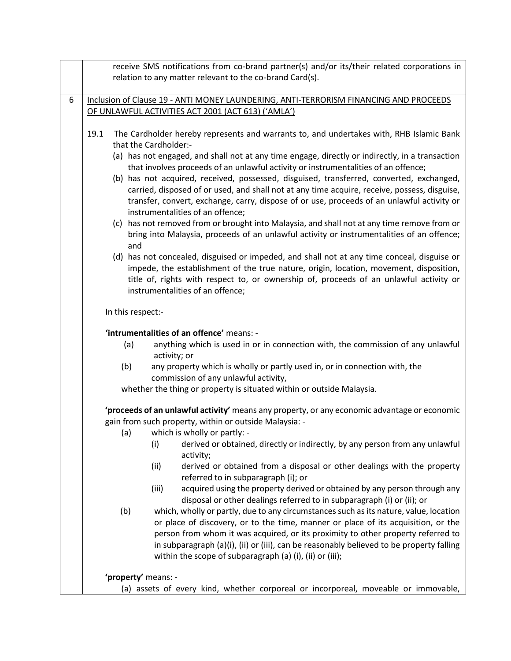|   | receive SMS notifications from co-brand partner(s) and/or its/their related corporations in<br>relation to any matter relevant to the co-brand Card(s).                                                                                                                                                                                                                                                                                                                                                                                                                                                                                                                                                                                                                                                                                                                                                                                                                                                                                                                                                                               |  |  |  |  |  |
|---|---------------------------------------------------------------------------------------------------------------------------------------------------------------------------------------------------------------------------------------------------------------------------------------------------------------------------------------------------------------------------------------------------------------------------------------------------------------------------------------------------------------------------------------------------------------------------------------------------------------------------------------------------------------------------------------------------------------------------------------------------------------------------------------------------------------------------------------------------------------------------------------------------------------------------------------------------------------------------------------------------------------------------------------------------------------------------------------------------------------------------------------|--|--|--|--|--|
| 6 | Inclusion of Clause 19 - ANTI MONEY LAUNDERING, ANTI-TERRORISM FINANCING AND PROCEEDS                                                                                                                                                                                                                                                                                                                                                                                                                                                                                                                                                                                                                                                                                                                                                                                                                                                                                                                                                                                                                                                 |  |  |  |  |  |
|   | OF UNLAWFUL ACTIVITIES ACT 2001 (ACT 613) ('AMLA')                                                                                                                                                                                                                                                                                                                                                                                                                                                                                                                                                                                                                                                                                                                                                                                                                                                                                                                                                                                                                                                                                    |  |  |  |  |  |
|   | 19.1<br>The Cardholder hereby represents and warrants to, and undertakes with, RHB Islamic Bank<br>that the Cardholder:-<br>(a) has not engaged, and shall not at any time engage, directly or indirectly, in a transaction<br>that involves proceeds of an unlawful activity or instrumentalities of an offence;<br>(b) has not acquired, received, possessed, disguised, transferred, converted, exchanged,<br>carried, disposed of or used, and shall not at any time acquire, receive, possess, disguise,<br>transfer, convert, exchange, carry, dispose of or use, proceeds of an unlawful activity or<br>instrumentalities of an offence;<br>(c) has not removed from or brought into Malaysia, and shall not at any time remove from or<br>bring into Malaysia, proceeds of an unlawful activity or instrumentalities of an offence;<br>and<br>(d) has not concealed, disguised or impeded, and shall not at any time conceal, disguise or<br>impede, the establishment of the true nature, origin, location, movement, disposition,<br>title of, rights with respect to, or ownership of, proceeds of an unlawful activity or |  |  |  |  |  |
|   | instrumentalities of an offence;                                                                                                                                                                                                                                                                                                                                                                                                                                                                                                                                                                                                                                                                                                                                                                                                                                                                                                                                                                                                                                                                                                      |  |  |  |  |  |
|   | In this respect:-                                                                                                                                                                                                                                                                                                                                                                                                                                                                                                                                                                                                                                                                                                                                                                                                                                                                                                                                                                                                                                                                                                                     |  |  |  |  |  |
|   | 'intrumentalities of an offence' means: -                                                                                                                                                                                                                                                                                                                                                                                                                                                                                                                                                                                                                                                                                                                                                                                                                                                                                                                                                                                                                                                                                             |  |  |  |  |  |
|   | anything which is used in or in connection with, the commission of any unlawful<br>(a)<br>activity; or                                                                                                                                                                                                                                                                                                                                                                                                                                                                                                                                                                                                                                                                                                                                                                                                                                                                                                                                                                                                                                |  |  |  |  |  |
|   | (b)<br>any property which is wholly or partly used in, or in connection with, the<br>commission of any unlawful activity,                                                                                                                                                                                                                                                                                                                                                                                                                                                                                                                                                                                                                                                                                                                                                                                                                                                                                                                                                                                                             |  |  |  |  |  |
|   | whether the thing or property is situated within or outside Malaysia.                                                                                                                                                                                                                                                                                                                                                                                                                                                                                                                                                                                                                                                                                                                                                                                                                                                                                                                                                                                                                                                                 |  |  |  |  |  |
|   | 'proceeds of an unlawful activity' means any property, or any economic advantage or economic                                                                                                                                                                                                                                                                                                                                                                                                                                                                                                                                                                                                                                                                                                                                                                                                                                                                                                                                                                                                                                          |  |  |  |  |  |
|   | gain from such property, within or outside Malaysia: -                                                                                                                                                                                                                                                                                                                                                                                                                                                                                                                                                                                                                                                                                                                                                                                                                                                                                                                                                                                                                                                                                |  |  |  |  |  |
|   | (a) which is wholly or partly: -<br>derived or obtained, directly or indirectly, by any person from any unlawful<br>(i)<br>activity;<br>derived or obtained from a disposal or other dealings with the property<br>(ii)<br>referred to in subparagraph (i); or<br>acquired using the property derived or obtained by any person through any<br>(iii)                                                                                                                                                                                                                                                                                                                                                                                                                                                                                                                                                                                                                                                                                                                                                                                  |  |  |  |  |  |
|   | disposal or other dealings referred to in subparagraph (i) or (ii); or<br>which, wholly or partly, due to any circumstances such as its nature, value, location<br>(b)<br>or place of discovery, or to the time, manner or place of its acquisition, or the<br>person from whom it was acquired, or its proximity to other property referred to<br>in subparagraph (a)(i), (ii) or (iii), can be reasonably believed to be property falling<br>within the scope of subparagraph (a) (i), (ii) or (iii);                                                                                                                                                                                                                                                                                                                                                                                                                                                                                                                                                                                                                               |  |  |  |  |  |
|   | 'property' means: -                                                                                                                                                                                                                                                                                                                                                                                                                                                                                                                                                                                                                                                                                                                                                                                                                                                                                                                                                                                                                                                                                                                   |  |  |  |  |  |
|   | (a) assets of every kind, whether corporeal or incorporeal, moveable or immovable,                                                                                                                                                                                                                                                                                                                                                                                                                                                                                                                                                                                                                                                                                                                                                                                                                                                                                                                                                                                                                                                    |  |  |  |  |  |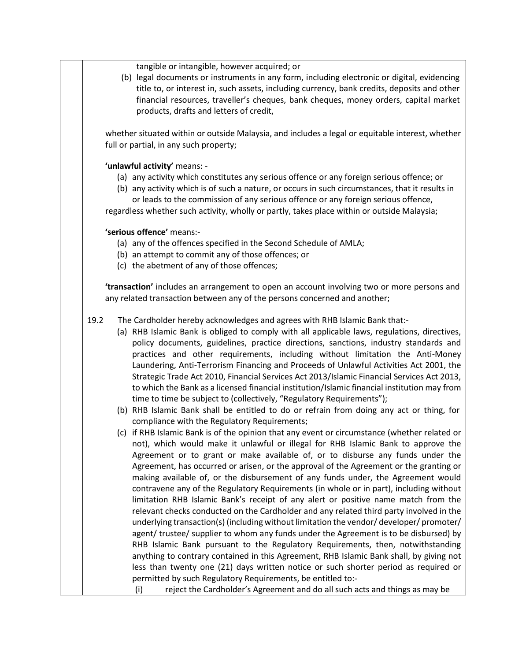tangible or intangible, however acquired; or

(b) legal documents or instruments in any form, including electronic or digital, evidencing title to, or interest in, such assets, including currency, bank credits, deposits and other financial resources, traveller's cheques, bank cheques, money orders, capital market products, drafts and letters of credit,

whether situated within or outside Malaysia, and includes a legal or equitable interest, whether full or partial, in any such property;

#### **'unlawful activity'** means: -

- (a) any activity which constitutes any serious offence or any foreign serious offence; or
- (b) any activity which is of such a nature, or occurs in such circumstances, that it results in or leads to the commission of any serious offence or any foreign serious offence,

regardless whether such activity, wholly or partly, takes place within or outside Malaysia;

## **'serious offence'** means:-

- (a) any of the offences specified in the Second Schedule of AMLA;
- (b) an attempt to commit any of those offences; or
- (c) the abetment of any of those offences;

**'transaction'** includes an arrangement to open an account involving two or more persons and any related transaction between any of the persons concerned and another;

- 19.2 The Cardholder hereby acknowledges and agrees with RHB Islamic Bank that:-
	- (a) RHB Islamic Bank is obliged to comply with all applicable laws, regulations, directives, policy documents, guidelines, practice directions, sanctions, industry standards and practices and other requirements, including without limitation the Anti-Money Laundering, Anti-Terrorism Financing and Proceeds of Unlawful Activities Act 2001, the Strategic Trade Act 2010, Financial Services Act 2013/Islamic Financial Services Act 2013, to which the Bank as a licensed financial institution/Islamic financial institution may from time to time be subject to (collectively, "Regulatory Requirements");
	- (b) RHB Islamic Bank shall be entitled to do or refrain from doing any act or thing, for compliance with the Regulatory Requirements;
	- (c) if RHB Islamic Bank is of the opinion that any event or circumstance (whether related or not), which would make it unlawful or illegal for RHB Islamic Bank to approve the Agreement or to grant or make available of, or to disburse any funds under the Agreement, has occurred or arisen, or the approval of the Agreement or the granting or making available of, or the disbursement of any funds under, the Agreement would contravene any of the Regulatory Requirements (in whole or in part), including without limitation RHB Islamic Bank's receipt of any alert or positive name match from the relevant checks conducted on the Cardholder and any related third party involved in the underlying transaction(s) (including without limitation the vendor/ developer/ promoter/ agent/ trustee/ supplier to whom any funds under the Agreement is to be disbursed) by RHB Islamic Bank pursuant to the Regulatory Requirements, then, notwithstanding anything to contrary contained in this Agreement, RHB Islamic Bank shall, by giving not less than twenty one (21) days written notice or such shorter period as required or permitted by such Regulatory Requirements, be entitled to:-

(i) reject the Cardholder's Agreement and do all such acts and things as may be